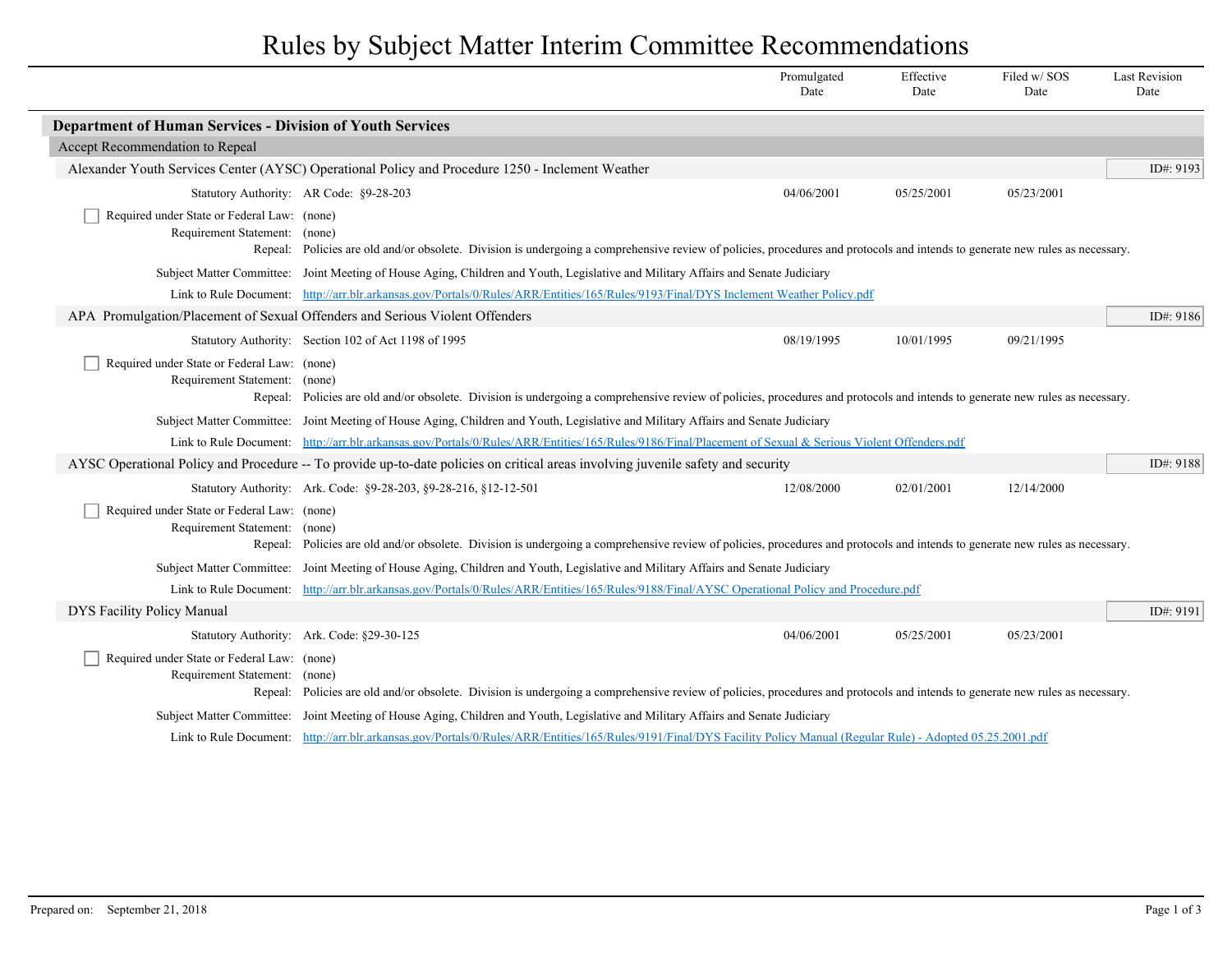## Rules by Subject Matter Interim Committee Recommendations

|                                                                              |                                                                                                                                                                               | Promulgated<br>Date | Effective<br>Date | Filed w/SOS<br>Date | <b>Last Revision</b><br>Date |
|------------------------------------------------------------------------------|-------------------------------------------------------------------------------------------------------------------------------------------------------------------------------|---------------------|-------------------|---------------------|------------------------------|
| <b>Department of Human Services - Division of Youth Services</b>             |                                                                                                                                                                               |                     |                   |                     |                              |
| Accept Recommendation to Repeal                                              |                                                                                                                                                                               |                     |                   |                     |                              |
|                                                                              | Alexander Youth Services Center (AYSC) Operational Policy and Procedure 1250 - Inclement Weather                                                                              |                     |                   |                     | ID#: 9193                    |
|                                                                              | Statutory Authority: AR Code: §9-28-203                                                                                                                                       | 04/06/2001          | 05/25/2001        | 05/23/2001          |                              |
| Required under State or Federal Law: (none)<br>Requirement Statement: (none) |                                                                                                                                                                               |                     |                   |                     |                              |
|                                                                              | Repeal: Policies are old and/or obsolete. Division is undergoing a comprehensive review of policies, procedures and protocols and intends to generate new rules as necessary. |                     |                   |                     |                              |
|                                                                              | Subject Matter Committee: Joint Meeting of House Aging, Children and Youth, Legislative and Military Affairs and Senate Judiciary                                             |                     |                   |                     |                              |
|                                                                              | Link to Rule Document: http://arr.blr.arkansas.gov/Portals/0/Rules/ARR/Entities/165/Rules/9193/Final/DYS Inclement Weather Policy.pdf                                         |                     |                   |                     |                              |
|                                                                              | APA Promulgation/Placement of Sexual Offenders and Serious Violent Offenders                                                                                                  |                     |                   |                     | ID#: 9186                    |
|                                                                              | Statutory Authority: Section 102 of Act 1198 of 1995                                                                                                                          | 08/19/1995          | 10/01/1995        | 09/21/1995          |                              |
| Required under State or Federal Law: (none)                                  |                                                                                                                                                                               |                     |                   |                     |                              |
| Requirement Statement: (none)                                                |                                                                                                                                                                               |                     |                   |                     |                              |
|                                                                              | Repeal: Policies are old and/or obsolete. Division is undergoing a comprehensive review of policies, procedures and protocols and intends to generate new rules as necessary. |                     |                   |                     |                              |
|                                                                              | Subject Matter Committee: Joint Meeting of House Aging, Children and Youth, Legislative and Military Affairs and Senate Judiciary                                             |                     |                   |                     |                              |
|                                                                              | Link to Rule Document: http://arr.blr.arkansas.gov/Portals/0/Rules/ARR/Entities/165/Rules/9186/Final/Placement of Sexual & Serious Violent Offenders.pdf                      |                     |                   |                     |                              |
|                                                                              | AYSC Operational Policy and Procedure -- To provide up-to-date policies on critical areas involving juvenile safety and security                                              |                     |                   |                     | ID#: 9188                    |
|                                                                              | Statutory Authority: Ark. Code: §9-28-203, §9-28-216, §12-12-501                                                                                                              | 12/08/2000          | 02/01/2001        | 12/14/2000          |                              |
| Required under State or Federal Law: (none)<br>Requirement Statement: (none) |                                                                                                                                                                               |                     |                   |                     |                              |
|                                                                              | Repeal: Policies are old and/or obsolete. Division is undergoing a comprehensive review of policies, procedures and protocols and intends to generate new rules as necessary. |                     |                   |                     |                              |
|                                                                              | Subject Matter Committee: Joint Meeting of House Aging, Children and Youth, Legislative and Military Affairs and Senate Judiciary                                             |                     |                   |                     |                              |
|                                                                              | Link to Rule Document: http://arr.blr.arkansas.gov/Portals/0/Rules/ARR/Entities/165/Rules/9188/Final/AYSC Operational Policy and Procedure.pdf                                |                     |                   |                     |                              |
| DYS Facility Policy Manual                                                   |                                                                                                                                                                               |                     |                   |                     | ID#: 9191                    |
|                                                                              | Statutory Authority: Ark. Code: §29-30-125                                                                                                                                    | 04/06/2001          | 05/25/2001        | 05/23/2001          |                              |
| Required under State or Federal Law: (none)                                  |                                                                                                                                                                               |                     |                   |                     |                              |
| Requirement Statement: (none)                                                |                                                                                                                                                                               |                     |                   |                     |                              |
|                                                                              | Repeal: Policies are old and/or obsolete. Division is undergoing a comprehensive review of policies, procedures and protocols and intends to generate new rules as necessary. |                     |                   |                     |                              |
|                                                                              | Subject Matter Committee: Joint Meeting of House Aging, Children and Youth, Legislative and Military Affairs and Senate Judiciary                                             |                     |                   |                     |                              |
|                                                                              | Link to Rule Document: http://arr.blr.arkansas.gov/Portals/0/Rules/ARR/Entities/165/Rules/9191/Final/DYS Facility Policy Manual (Regular Rule) - Adopted 05.25.2001.pdf       |                     |                   |                     |                              |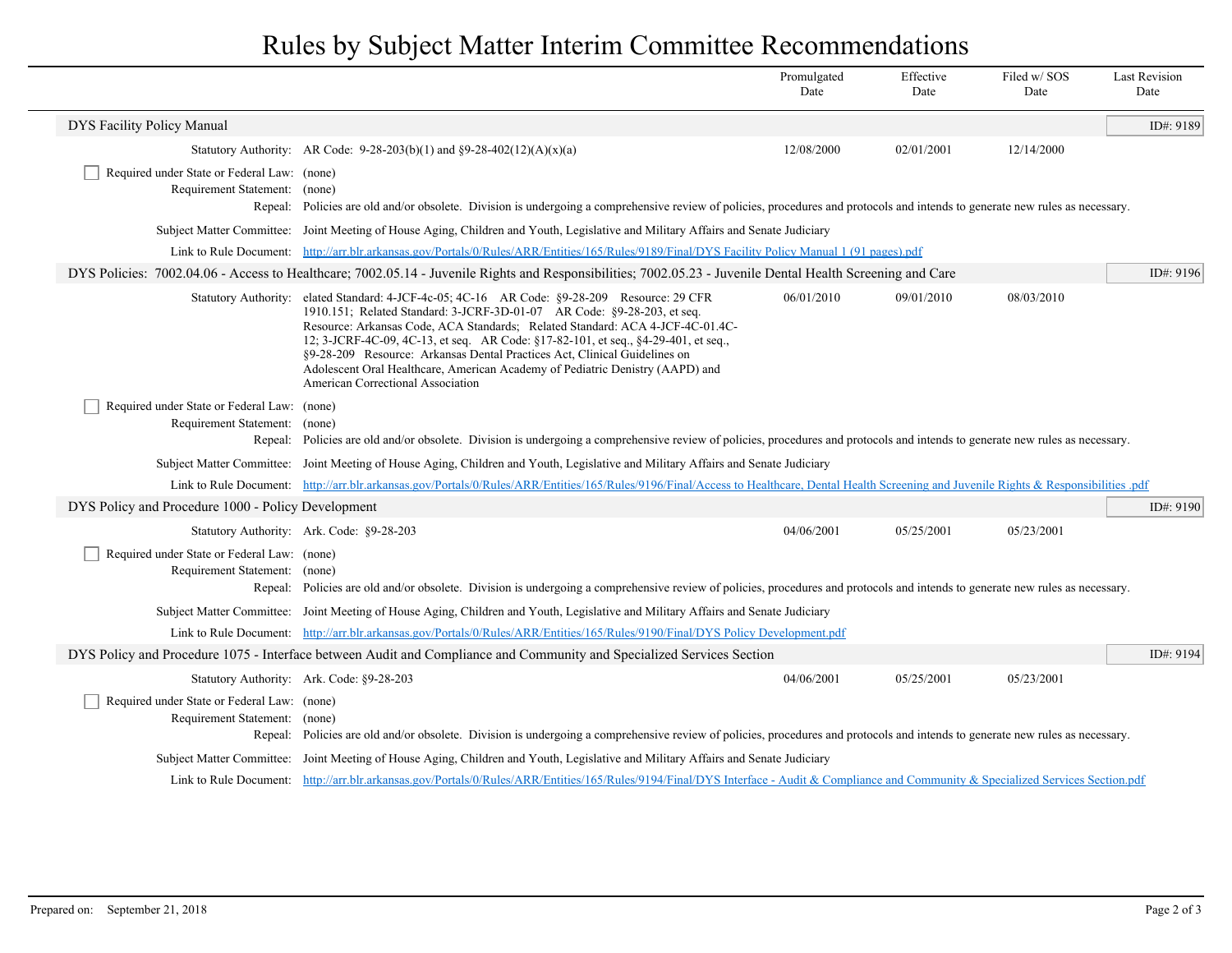## Rules by Subject Matter Interim Committee Recommendations

|                                                                              |                                                                                                                                                                                                                                                                                                                                                                                                                                                                                                                              | Promulgated<br>Date | Effective<br>Date | Filed w/SOS<br>Date | <b>Last Revision</b><br>Date |  |
|------------------------------------------------------------------------------|------------------------------------------------------------------------------------------------------------------------------------------------------------------------------------------------------------------------------------------------------------------------------------------------------------------------------------------------------------------------------------------------------------------------------------------------------------------------------------------------------------------------------|---------------------|-------------------|---------------------|------------------------------|--|
| DYS Facility Policy Manual                                                   |                                                                                                                                                                                                                                                                                                                                                                                                                                                                                                                              |                     |                   |                     | ID#: 9189                    |  |
|                                                                              | Statutory Authority: AR Code: 9-28-203(b)(1) and $\S9-28-402(12)(A)(x)(a)$                                                                                                                                                                                                                                                                                                                                                                                                                                                   | 12/08/2000          | 02/01/2001        | 12/14/2000          |                              |  |
| Required under State or Federal Law: (none)<br>Requirement Statement: (none) | Repeal: Policies are old and/or obsolete. Division is undergoing a comprehensive review of policies, procedures and protocols and intends to generate new rules as necessary.                                                                                                                                                                                                                                                                                                                                                |                     |                   |                     |                              |  |
|                                                                              | Subject Matter Committee: Joint Meeting of House Aging, Children and Youth, Legislative and Military Affairs and Senate Judiciary                                                                                                                                                                                                                                                                                                                                                                                            |                     |                   |                     |                              |  |
|                                                                              | Link to Rule Document: http://arr.blr.arkansas.gov/Portals/0/Rules/ARR/Entities/165/Rules/9189/Final/DYS Facility Policy Manual 1 (91 pages).pdf                                                                                                                                                                                                                                                                                                                                                                             |                     |                   |                     |                              |  |
|                                                                              | DYS Policies: 7002.04.06 - Access to Healthcare; 7002.05.14 - Juvenile Rights and Responsibilities; 7002.05.23 - Juvenile Dental Health Screening and Care                                                                                                                                                                                                                                                                                                                                                                   |                     |                   |                     | ID#: $9196$                  |  |
| <b>Statutory Authority:</b>                                                  | elated Standard: 4-JCF-4c-05; 4C-16 AR Code: §9-28-209 Resource: 29 CFR<br>1910.151; Related Standard: 3-JCRF-3D-01-07 AR Code: §9-28-203, et seq.<br>Resource: Arkansas Code, ACA Standards; Related Standard: ACA 4-JCF-4C-01.4C-<br>12; 3-JCRF-4C-09, 4C-13, et seq. AR Code: §17-82-101, et seq., §4-29-401, et seq.,<br>§9-28-209 Resource: Arkansas Dental Practices Act, Clinical Guidelines on<br>Adolescent Oral Healthcare, American Academy of Pediatric Denistry (AAPD) and<br>American Correctional Association | 06/01/2010          | 09/01/2010        | 08/03/2010          |                              |  |
| Required under State or Federal Law: (none)<br>Requirement Statement:        | (none)<br>Repeal: Policies are old and/or obsolete. Division is undergoing a comprehensive review of policies, procedures and protocols and intends to generate new rules as necessary.                                                                                                                                                                                                                                                                                                                                      |                     |                   |                     |                              |  |
|                                                                              | Subject Matter Committee: Joint Meeting of House Aging, Children and Youth, Legislative and Military Affairs and Senate Judiciary                                                                                                                                                                                                                                                                                                                                                                                            |                     |                   |                     |                              |  |
|                                                                              | Link to Rule Document: http://arr.blr.arkansas.gov/Portals/0/Rules/ARR/Entities/165/Rules/9196/Final/Access to Healthcare, Dental Health Screening and Juvenile Rights & Responsibilities.pdf                                                                                                                                                                                                                                                                                                                                |                     |                   |                     |                              |  |
| DYS Policy and Procedure 1000 - Policy Development                           |                                                                                                                                                                                                                                                                                                                                                                                                                                                                                                                              |                     |                   |                     | ID#: 9190                    |  |
|                                                                              | Statutory Authority: Ark. Code: §9-28-203                                                                                                                                                                                                                                                                                                                                                                                                                                                                                    | 04/06/2001          | 05/25/2001        | 05/23/2001          |                              |  |
| Required under State or Federal Law: (none)<br>Requirement Statement: (none) | Repeal: Policies are old and/or obsolete. Division is undergoing a comprehensive review of policies, procedures and protocols and intends to generate new rules as necessary.                                                                                                                                                                                                                                                                                                                                                |                     |                   |                     |                              |  |
|                                                                              | Subject Matter Committee: Joint Meeting of House Aging, Children and Youth, Legislative and Military Affairs and Senate Judiciary                                                                                                                                                                                                                                                                                                                                                                                            |                     |                   |                     |                              |  |
|                                                                              | Link to Rule Document: http://arr.blr.arkansas.gov/Portals/0/Rules/ARR/Entities/165/Rules/9190/Final/DYS Policy Development.pdf                                                                                                                                                                                                                                                                                                                                                                                              |                     |                   |                     |                              |  |
|                                                                              | DYS Policy and Procedure 1075 - Interface between Audit and Compliance and Community and Specialized Services Section                                                                                                                                                                                                                                                                                                                                                                                                        |                     |                   |                     | ID#: 9194                    |  |
|                                                                              | Statutory Authority: Ark. Code: §9-28-203                                                                                                                                                                                                                                                                                                                                                                                                                                                                                    | 04/06/2001          | 05/25/2001        | 05/23/2001          |                              |  |
| Required under State or Federal Law: (none)<br>Requirement Statement: (none) | Repeal: Policies are old and/or obsolete. Division is undergoing a comprehensive review of policies, procedures and protocols and intends to generate new rules as necessary.                                                                                                                                                                                                                                                                                                                                                |                     |                   |                     |                              |  |
|                                                                              | Subject Matter Committee: Joint Meeting of House Aging, Children and Youth, Legislative and Military Affairs and Senate Judiciary                                                                                                                                                                                                                                                                                                                                                                                            |                     |                   |                     |                              |  |
|                                                                              | Link to Rule Document: http://arr.blr.arkansas.gov/Portals/0/Rules/ARR/Entities/165/Rules/9194/Final/DYS Interface - Audit & Compliance and Community & Specialized Services Section.pdf                                                                                                                                                                                                                                                                                                                                     |                     |                   |                     |                              |  |